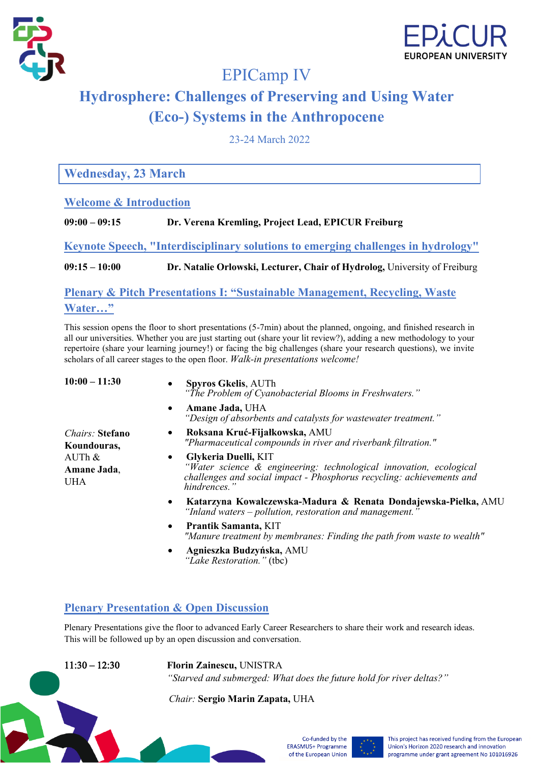



## EPICamp IV

# **Hydrosphere: Challenges of Preserving and Using Water (Eco-) Systems in the Anthropocene**

23-24 March 2022

**Wednesday, 23 March**

## **Welcome & Introduction**

**09:00 – 09:15 Dr. Verena Kremling, Project Lead, EPICUR Freiburg**

**Keynote Speech, "Interdisciplinary solutions to emerging challenges in hydrology"**

**09:15 – 10:00 Dr. Natalie Orlowski, Lecturer, Chair of Hydrolog,** University of Freiburg

**Plenary & Pitch Presentations I: "Sustainable Management, Recycling, Waste Water…"**

This session opens the floor to short presentations (5-7min) about the planned, ongoing, and finished research in all our universities. Whether you are just starting out (share your lit review?), adding a new methodology to your repertoire (share your learning journey!) or facing the big challenges (share your research questions), we invite scholars of all career stages to the open floor. *Walk-in presentations welcome!* 

| $10:00 - 11:30$<br><i><b>Chairs: Stefano</b></i><br>Koundouras,<br>$AUTh$ &<br>Amane Jada,<br><b>UHA</b> | <b>Spyros Gkelis, AUTh</b><br>"The Problem of Cyanobacterial Blooms in Freshwaters."                                                                                                             |
|----------------------------------------------------------------------------------------------------------|--------------------------------------------------------------------------------------------------------------------------------------------------------------------------------------------------|
|                                                                                                          | Amane Jada, UHA<br>$\bullet$<br>"Design of absorbents and catalysts for wastewater treatment."                                                                                                   |
|                                                                                                          | Roksana Kruć-Fijałkowska, AMU<br>٠<br>"Pharmaceutical compounds in river and riverbank filtration."                                                                                              |
|                                                                                                          | Glykeria Duelli, KIT<br>$\bullet$<br>"Water science & engineering: technological innovation, ecological<br>challenges and social impact - Phosphorus recycling: achievements and<br>hindrences." |
|                                                                                                          | Katarzyna Kowalczewska-Madura & Renata Dondajewska-Pielka, AMU<br>$\bullet$<br>"Inland waters – pollution, restoration and management."                                                          |
|                                                                                                          | Prantik Samanta, KIT<br>$\bullet$<br>"Manure treatment by membranes: Finding the path from waste to wealth"                                                                                      |
|                                                                                                          | Agnieszka Budzyńska, AMU<br>$\bullet$<br>"Lake Restoration." (tbc)                                                                                                                               |

## **Plenary Presentation & Open Discussion**

Plenary Presentations give the floor to advanced Early Career Researchers to share their work and research ideas. This will be followed up by an open discussion and conversation.

11:30 – 12:30 **Florin Zainescu,** UNISTRA *"Starved and submerged: What does the future hold for river deltas?"*

*Chair:* **Sergio Marin Zapata,** UHA



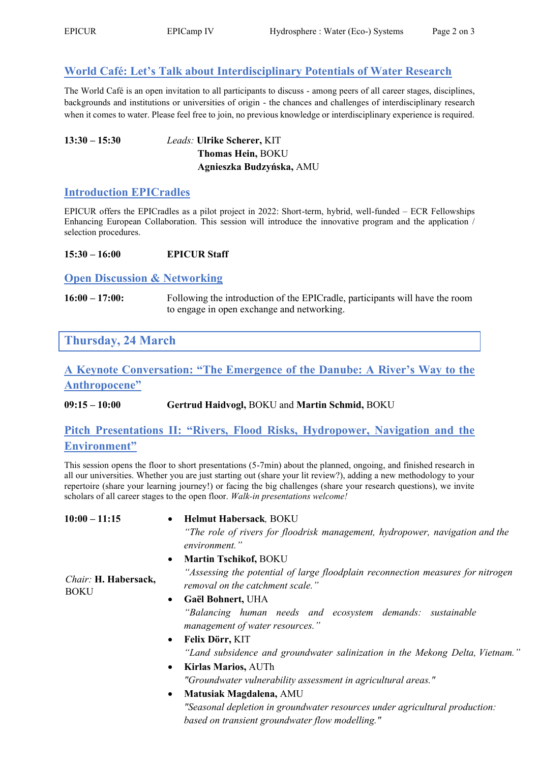## **World Café: Let's Talk about Interdisciplinary Potentials of Water Research**

The World Café is an open invitation to all participants to discuss - among peers of all career stages, disciplines, backgrounds and institutions or universities of origin - the chances and challenges of interdisciplinary research when it comes to water. Please feel free to join, no previous knowledge or interdisciplinary experience is required.

#### **13:30 – 15:30** *Leads:* **Ulrike Scherer,** KIT **Thomas Hein,** BOKU  **Agnieszka Budzyńska,** AMU

### **Introduction EPICradles**

EPICUR offers the EPICradles as a pilot project in 2022: Short-term, hybrid, well-funded – ECR Fellowships Enhancing European Collaboration. This session will introduce the innovative program and the application / selection procedures.

#### **15:30 – 16:00 EPICUR Staff**

#### **Open Discussion & Networking**

**16:00 – 17:00:** Following the introduction of the EPICradle, participants will have the room to engage in open exchange and networking.

**Thursday, 24 March**

## **A Keynote Conversation: "The Emergence of the Danube: A River's Way to the Anthropocene"**

**09:15 – 10:00 Gertrud Haidvogl,** BOKU and **Martin Schmid,** BOKU

### **Pitch Presentations II: "Rivers, Flood Risks, Hydropower, Navigation and the Environment"**

This session opens the floor to short presentations (5-7min) about the planned, ongoing, and finished research in all our universities. Whether you are just starting out (share your lit review?), adding a new methodology to your repertoire (share your learning journey!) or facing the big challenges (share your research questions), we invite scholars of all career stages to the open floor. *Walk-in presentations welcome!*

#### **10:00 – 11:15** • **Helmut Habersack***,* BOKU *"The role of rivers for floodrisk management, hydropower, navigation and the environment."* • **Martin Tschikof,** BOKU *"Assessing the potential of large floodplain reconnection measures for nitrogen removal on the catchment scale." Chair:* **H. Habersack, BOKU**

- **Gaël Bohnert,** UHA *"Balancing human needs and ecosystem demands: sustainable management of water resources."*
- **Felix Dörr,** KIT *"Land subsidence and groundwater salinization in the Mekong Delta, Vietnam."*
- **Kirlas Marios,** AUTh *"Groundwater vulnerability assessment in agricultural areas."*
- **Matusiak Magdalena,** AMU *"Seasonal depletion in groundwater resources under agricultural production: based on transient groundwater flow modelling."*